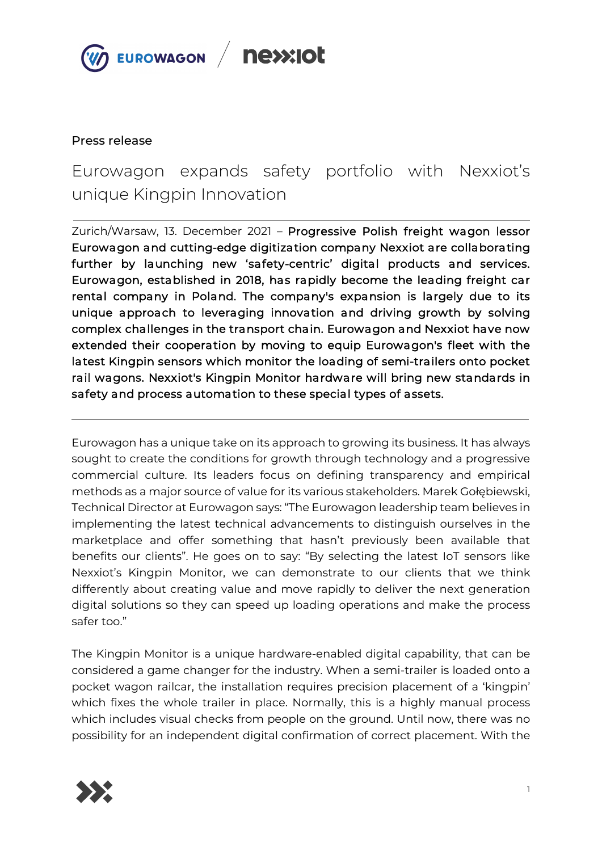

## Press release

# Eurowagon expands safety portfolio with Nexxiot's unique Kingpin Innovation

Zurich/Warsaw, 13. December 2021 – Progressive Polish freight wagon lessor Eurowagon and cutting-edge digitization company Nexxiot are collaborating further by launching new 'safety-centric' digital products and services. Eurowagon, established in 2018, has rapidly become the leading freight car rental company in Poland. The company's expansion is largely due to its unique approach to leveraging innovation and driving growth by solving complex challenges in the transport chain. Eurowagon and Nexxiot have now extended their cooperation by moving to equip Eurowagon's fleet with the latest Kingpin sensors which monitor the loading of semi-trailers onto pocket rail wagons. Nexxiot's Kingpin Monitor hardware will bring new standards in safety and process automation to these special types of assets.

Eurowagon has a unique take on its approach to growing its business. It has always sought to create the conditions for growth through technology and a progressive commercial culture. Its leaders focus on defining transparency and empirical methods as a major source of value for its various stakeholders. Marek Gołębiewski, Technical Director at Eurowagon says: "The Eurowagon leadership team believes in implementing the latest technical advancements to distinguish ourselves in the marketplace and offer something that hasn't previously been available that benefits our clients". He goes on to say: "By selecting the latest IoT sensors like Nexxiot's Kingpin Monitor, we can demonstrate to our clients that we think differently about creating value and move rapidly to deliver the next generation digital solutions so they can speed up loading operations and make the process safer too."

The Kingpin Monitor is a unique hardware-enabled digital capability, that can be considered a game changer for the industry. When a semi-trailer is loaded onto a pocket wagon railcar, the installation requires precision placement of a 'kingpin' which fixes the whole trailer in place. Normally, this is a highly manual process which includes visual checks from people on the ground. Until now, there was no possibility for an independent digital confirmation of correct placement. With the

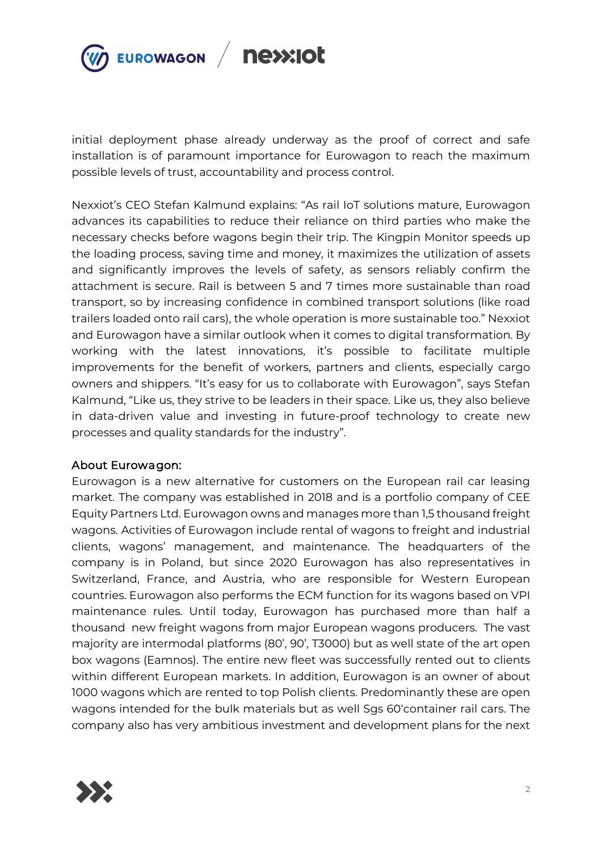

initial deployment phase already underway as the proof of correct and safe installation is of paramount importance for Eurowagon to reach the maximum possible levels of trust, accountability and process control.

Nexxiot's CEO Stefan Kalmund explains: "As rail IoT solutions mature, Eurowagon advances its capabilities to reduce their reliance on third parties who make the necessary checks before wagons begin their trip. The Kingpin Monitor speeds up the loading process, saving time and money, it maximizes the utilization of assets and significantly improves the levels of safety, as sensors reliably confirm the attachment is secure. Rail is between 5 and 7 times more sustainable than road transport, so by increasing confidence in combined transport solutions (like road trailers loaded onto rail cars), the whole operation is more sustainable too." Nexxiot and Eurowagon have a similar outlook when it comes to digital transformation. By working with the latest innovations, it's possible to facilitate multiple improvements for the benefit of workers, partners and clients, especially cargo owners and shippers. "It's easy for us to collaborate with Eurowagon", says Stefan Kalmund, "Like us, they strive to be leaders in their space. Like us, they also believe in data-driven value and investing in future-proof technology to create new processes and quality standards for the industry".

#### About Eurowagon:

Eurowagon is a new alternative for customers on the European rail car leasing market. The company was established in 2018 and is a portfolio company of CEE Equity Partners Ltd. Eurowagon owns and manages more than 1,5 thousand freight wagons. Activities of Eurowagon include rental of wagons to freight and industrial clients, wagons' management, and maintenance. The headquarters of the company is in Poland, but since 2020 Eurowagon has also representatives in Switzerland, France, and Austria, who are responsible for Western European countries. Eurowagon also performs the ECM function for its wagons based on VPI maintenance rules. Until today, Eurowagon has purchased more than half a thousand new freight wagons from major European wagons producers. The vast majority are intermodal platforms (80', 90', T3000) but as well state of the art open box wagons (Eamnos). The entire new fleet was successfully rented out to clients within different European markets. In addition, Eurowagon is an owner of about 1000 wagons which are rented to top Polish clients. Predominantly these are open wagons intended for the bulk materials but as well Sgs 60'container rail cars. The company also has very ambitious investment and development plans for the next